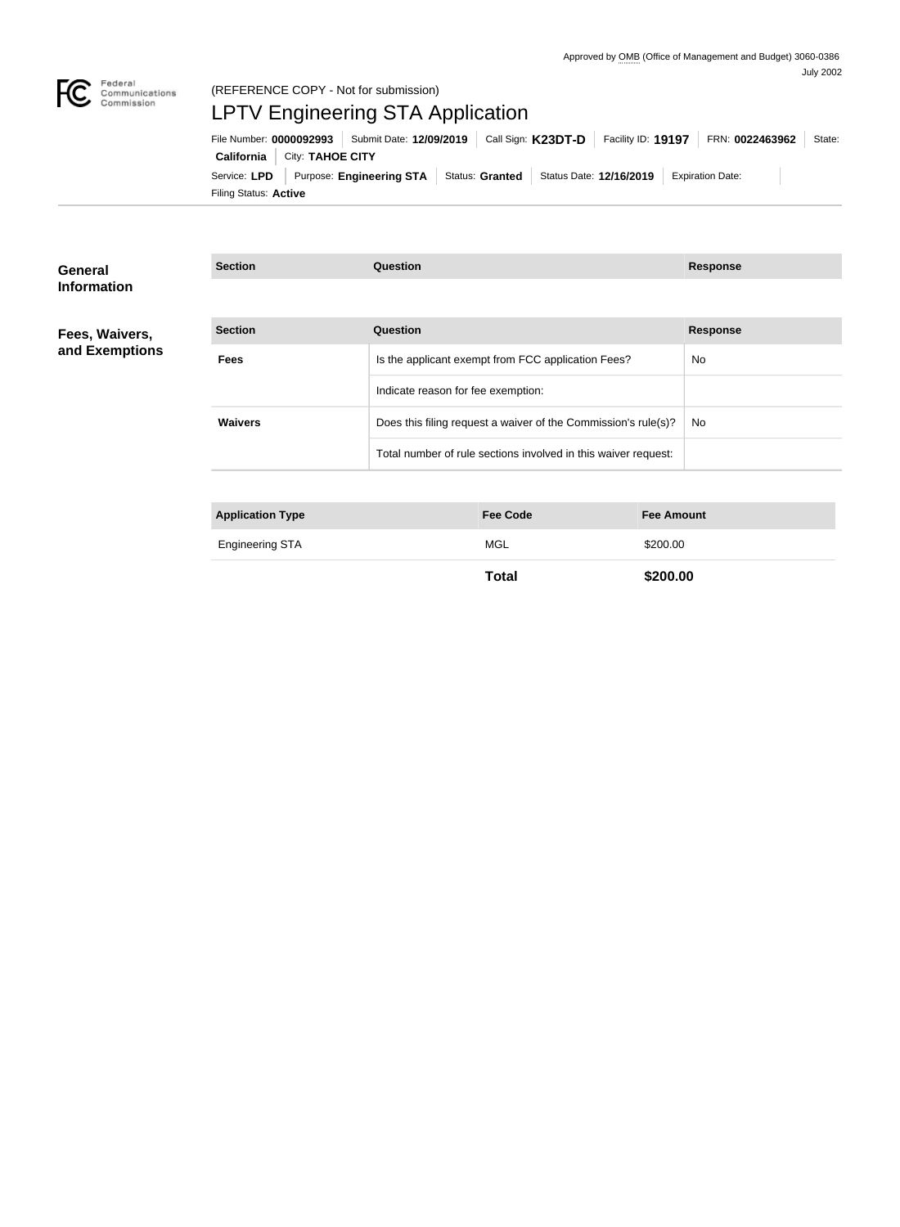

# LPTV Engineering STA Application

Filing Status: **Active** Service: LPD Purpose: Engineering STA Status: Granted Status Date: 12/16/2019 Expiration Date: **California City: TAHOE CITY** File Number: **0000092993** Submit Date: **12/09/2019** Call Sign: **K23DT-D** Facility ID: **19197** FRN: **0022463962** State:

| General                          | <b>Section</b>          | Question                                                       |                   | <b>Response</b> |
|----------------------------------|-------------------------|----------------------------------------------------------------|-------------------|-----------------|
| <b>Information</b>               |                         |                                                                |                   |                 |
| Fees, Waivers,<br>and Exemptions | <b>Section</b>          | Question                                                       |                   | <b>Response</b> |
|                                  | <b>Fees</b>             | Is the applicant exempt from FCC application Fees?             | No.               |                 |
|                                  |                         | Indicate reason for fee exemption:                             |                   |                 |
|                                  | <b>Waivers</b>          | Does this filing request a waiver of the Commission's rule(s)? | No                |                 |
|                                  |                         | Total number of rule sections involved in this waiver request: |                   |                 |
|                                  |                         |                                                                |                   |                 |
|                                  | <b>Application Type</b> | <b>Fee Code</b>                                                | <b>Fee Amount</b> |                 |
|                                  | <b>Engineering STA</b>  | <b>MGL</b>                                                     | \$200.00          |                 |

**Total \$200.00**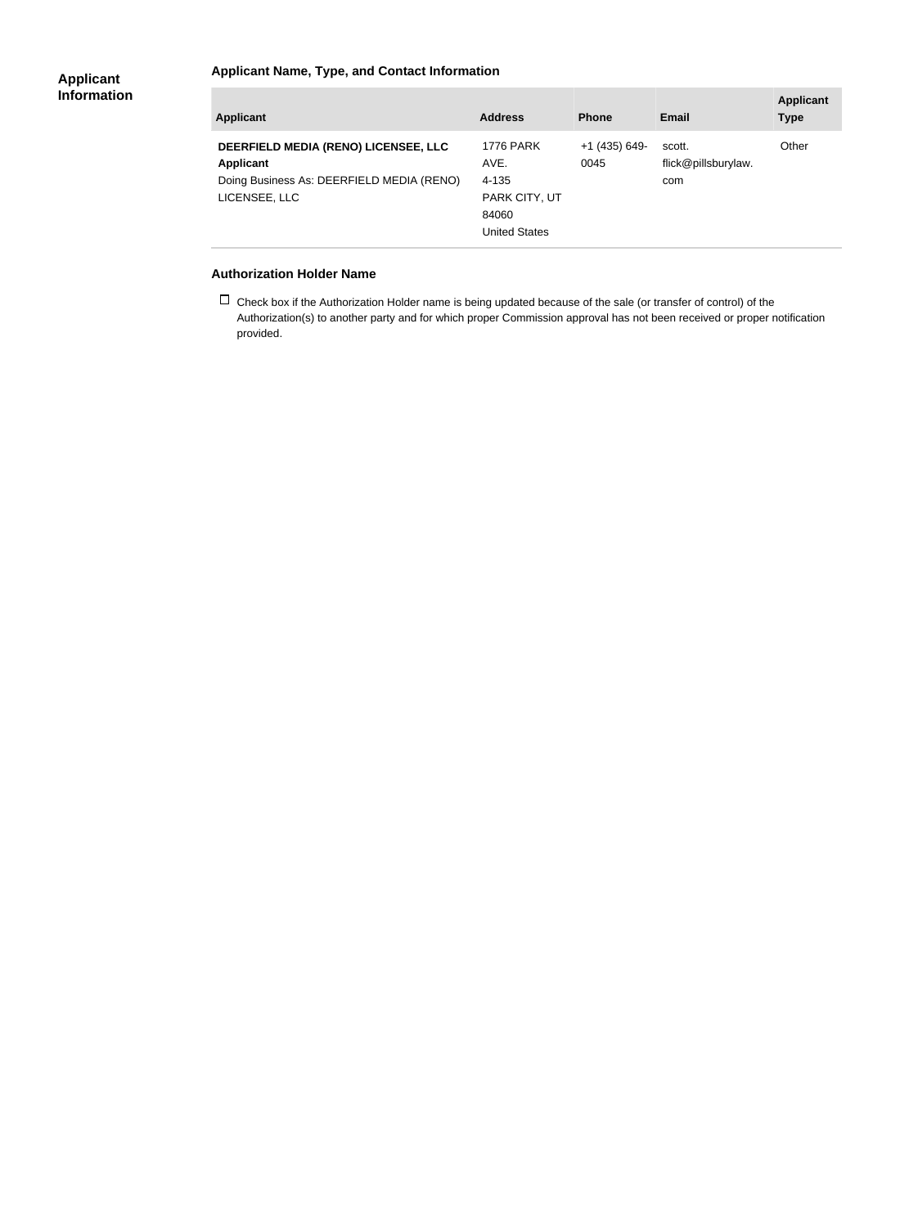#### **Applicant Name, Type, and Contact Information**

| <b>Applicant</b>                                                                                                       | <b>Address</b>                                                                      | <b>Phone</b>          | Email                                | <b>Applicant</b><br><b>Type</b> |
|------------------------------------------------------------------------------------------------------------------------|-------------------------------------------------------------------------------------|-----------------------|--------------------------------------|---------------------------------|
| DEERFIELD MEDIA (RENO) LICENSEE, LLC<br><b>Applicant</b><br>Doing Business As: DEERFIELD MEDIA (RENO)<br>LICENSEE, LLC | <b>1776 PARK</b><br>AVE.<br>4-135<br>PARK CITY, UT<br>84060<br><b>United States</b> | +1 (435) 649-<br>0045 | scott.<br>flick@pillsburylaw.<br>com | Other                           |

#### **Authorization Holder Name**

 $\Box$  Check box if the Authorization Holder name is being updated because of the sale (or transfer of control) of the Authorization(s) to another party and for which proper Commission approval has not been received or proper notification provided.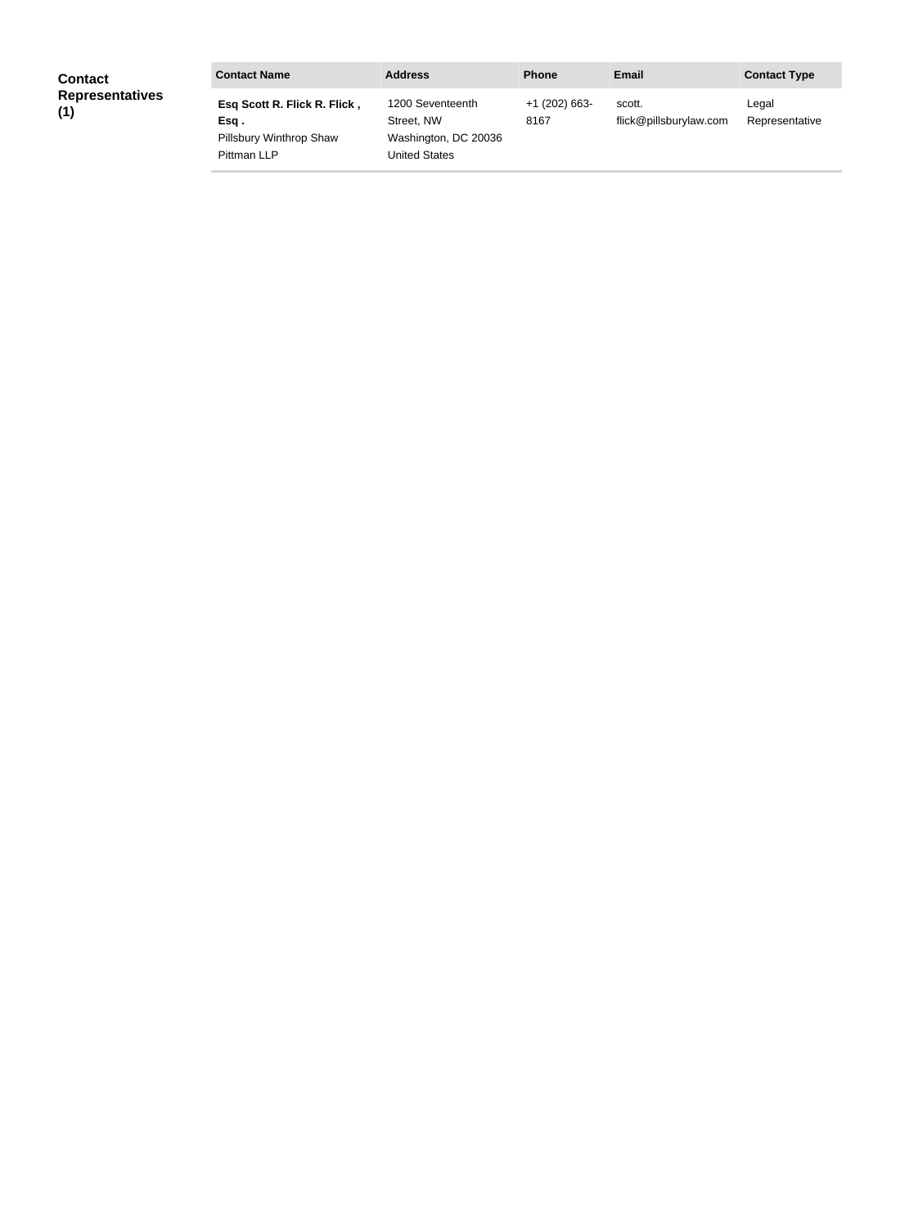| <b>Contact</b><br><b>Representatives</b><br>(1) | <b>Contact Name</b>                    | <b>Address</b>                        | <b>Phone</b>          | <b>Email</b>                     | <b>Contact Type</b>     |
|-------------------------------------------------|----------------------------------------|---------------------------------------|-----------------------|----------------------------------|-------------------------|
|                                                 | Esq Scott R. Flick R. Flick,<br>Esq.   | 1200 Seventeenth<br>Street, NW        | +1 (202) 663-<br>8167 | scott.<br>flick@pillsburylaw.com | Legal<br>Representative |
|                                                 | Pillsbury Winthrop Shaw<br>Pittman LLP | Washington, DC 20036<br>United States |                       |                                  |                         |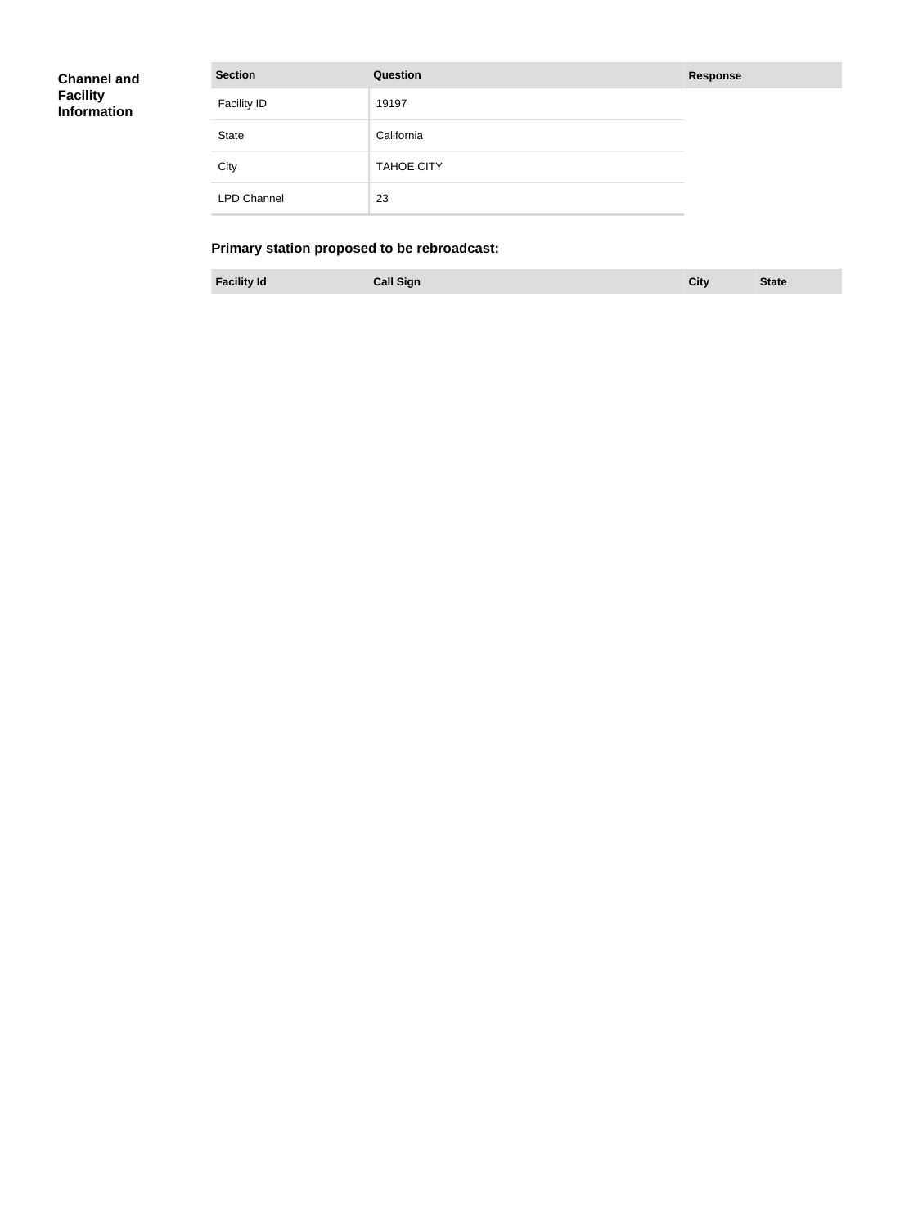| <b>Channel and</b> |  |
|--------------------|--|
| <b>Facility</b>    |  |
| <b>Information</b> |  |

| <b>Section</b>     | Question          | <b>Response</b> |
|--------------------|-------------------|-----------------|
| <b>Facility ID</b> | 19197             |                 |
| <b>State</b>       | California        |                 |
| City               | <b>TAHOE CITY</b> |                 |
| <b>LPD Channel</b> | 23                |                 |

# **Primary station proposed to be rebroadcast:**

**Facility Id Call Sign City State**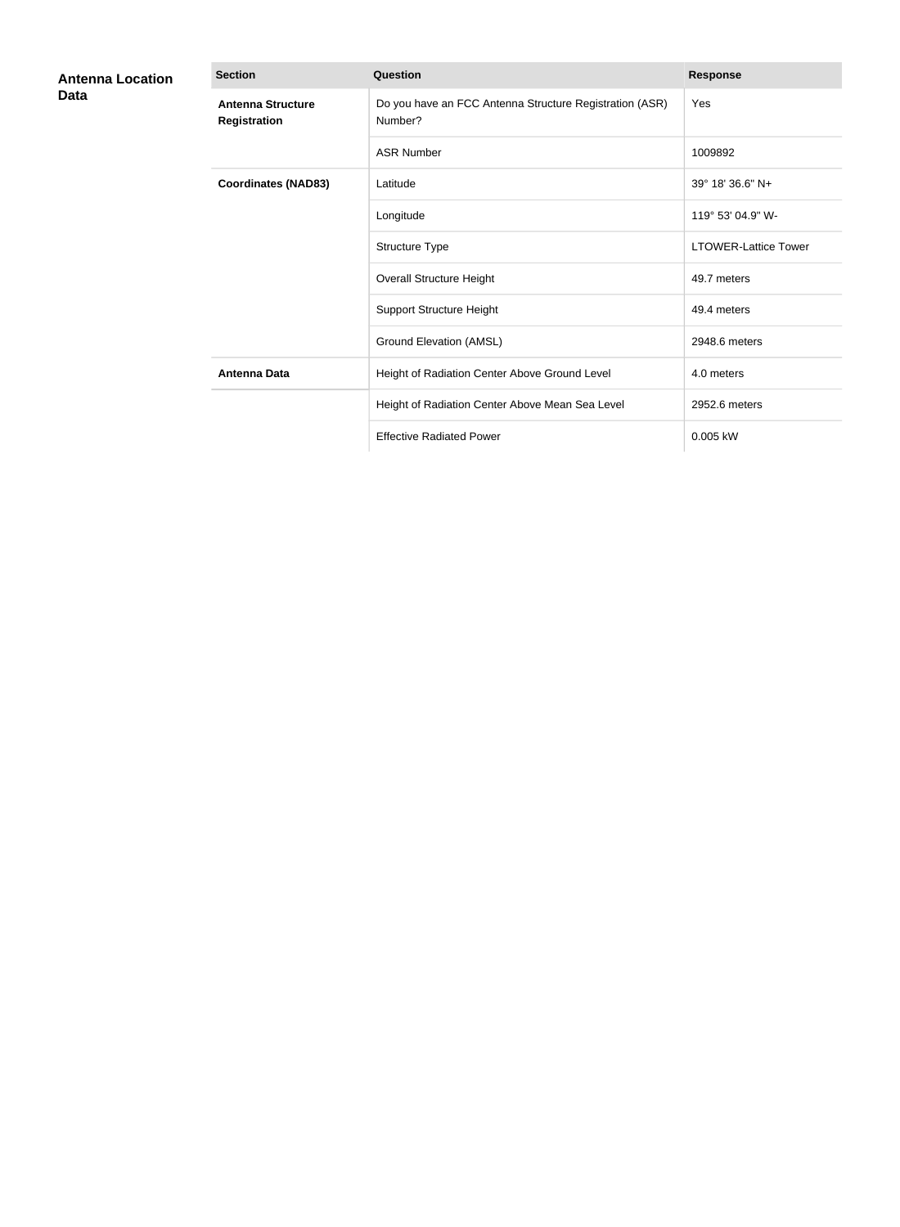| <b>Antenna Location</b><br>Data | <b>Section</b>                                  | <b>Question</b>                                                    | <b>Response</b>             |
|---------------------------------|-------------------------------------------------|--------------------------------------------------------------------|-----------------------------|
|                                 | <b>Antenna Structure</b><br><b>Registration</b> | Do you have an FCC Antenna Structure Registration (ASR)<br>Number? | Yes                         |
|                                 |                                                 | <b>ASR Number</b>                                                  | 1009892                     |
|                                 | <b>Coordinates (NAD83)</b>                      | Latitude                                                           | 39° 18' 36.6" N+            |
|                                 |                                                 | Longitude                                                          | 119° 53' 04.9" W-           |
|                                 |                                                 | Structure Type                                                     | <b>LTOWER-Lattice Tower</b> |
|                                 |                                                 | <b>Overall Structure Height</b>                                    | 49.7 meters                 |
|                                 |                                                 | <b>Support Structure Height</b>                                    | 49.4 meters                 |
|                                 |                                                 | Ground Elevation (AMSL)                                            | 2948.6 meters               |
|                                 | <b>Antenna Data</b>                             | Height of Radiation Center Above Ground Level                      | 4.0 meters                  |
|                                 |                                                 | Height of Radiation Center Above Mean Sea Level                    | 2952.6 meters               |
|                                 |                                                 | <b>Effective Radiated Power</b>                                    | 0.005 kW                    |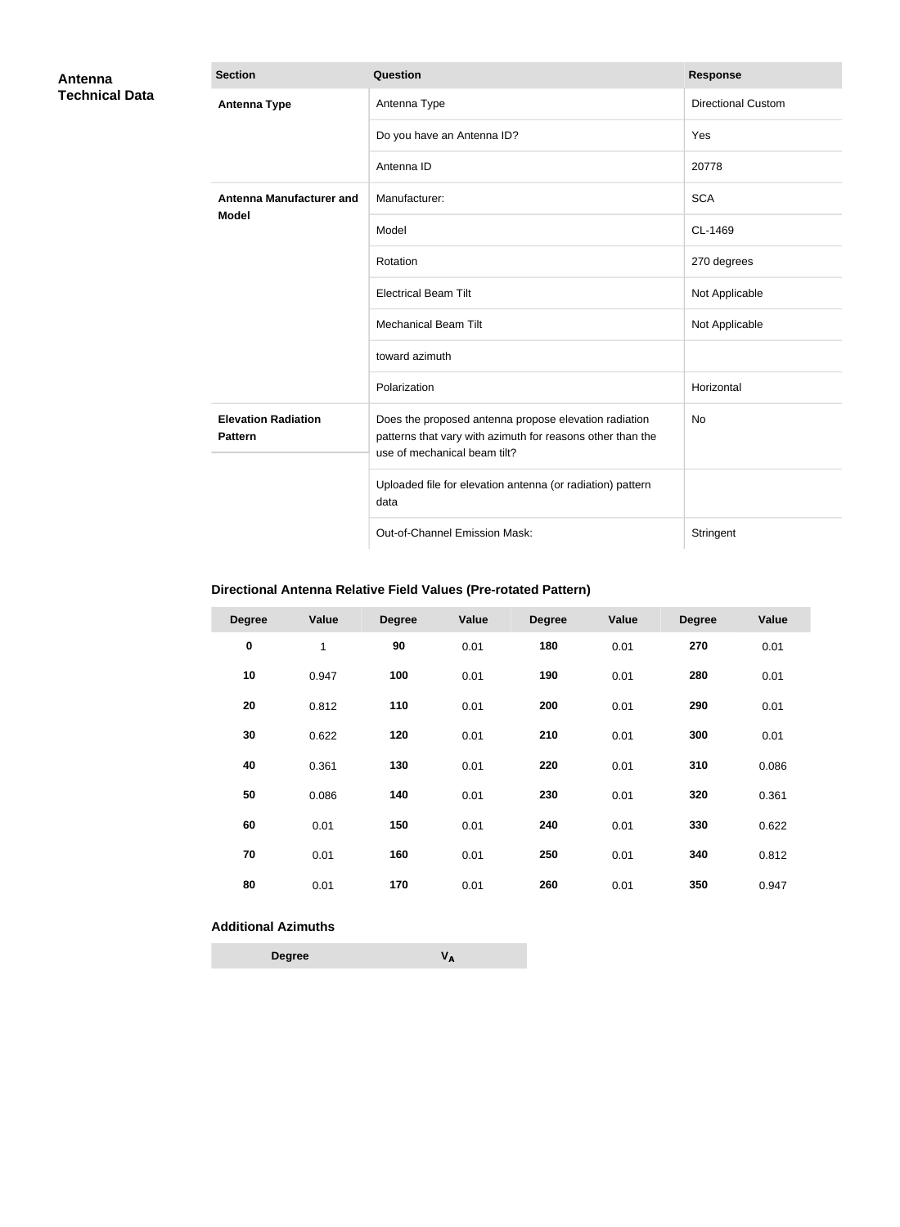| Antenna               | <b>Section</b>                               | <b>Question</b>                                                                                                                                     | <b>Response</b>           |
|-----------------------|----------------------------------------------|-----------------------------------------------------------------------------------------------------------------------------------------------------|---------------------------|
| <b>Technical Data</b> | <b>Antenna Type</b>                          | Antenna Type                                                                                                                                        | <b>Directional Custom</b> |
|                       |                                              | Do you have an Antenna ID?                                                                                                                          | Yes                       |
|                       |                                              | Antenna ID                                                                                                                                          | 20778                     |
|                       | <b>Antenna Manufacturer and</b>              | Manufacturer:                                                                                                                                       | <b>SCA</b>                |
|                       | <b>Model</b>                                 | Model                                                                                                                                               | CL-1469                   |
|                       |                                              | Rotation                                                                                                                                            | 270 degrees               |
|                       |                                              | <b>Electrical Beam Tilt</b>                                                                                                                         | Not Applicable            |
|                       |                                              | <b>Mechanical Beam Tilt</b>                                                                                                                         | Not Applicable            |
|                       |                                              | toward azimuth                                                                                                                                      |                           |
|                       |                                              | Polarization                                                                                                                                        | Horizontal                |
|                       | <b>Elevation Radiation</b><br><b>Pattern</b> | Does the proposed antenna propose elevation radiation<br>patterns that vary with azimuth for reasons other than the<br>use of mechanical beam tilt? | <b>No</b>                 |
|                       |                                              | Uploaded file for elevation antenna (or radiation) pattern<br>data                                                                                  |                           |
|                       |                                              | Out-of-Channel Emission Mask:                                                                                                                       | Stringent                 |

# **Directional Antenna Relative Field Values (Pre-rotated Pattern)**

| <b>Degree</b> | Value | <b>Degree</b> | Value | <b>Degree</b> | <b>Value</b> | <b>Degree</b> | Value |
|---------------|-------|---------------|-------|---------------|--------------|---------------|-------|
| $\pmb{0}$     | 1     | 90            | 0.01  | 180           | 0.01         | 270           | 0.01  |
| 10            | 0.947 | 100           | 0.01  | 190           | 0.01         | 280           | 0.01  |
| 20            | 0.812 | 110           | 0.01  | 200           | 0.01         | 290           | 0.01  |
| 30            | 0.622 | 120           | 0.01  | 210           | 0.01         | 300           | 0.01  |
| 40            | 0.361 | 130           | 0.01  | 220           | 0.01         | 310           | 0.086 |
| 50            | 0.086 | 140           | 0.01  | 230           | 0.01         | 320           | 0.361 |
| 60            | 0.01  | 150           | 0.01  | 240           | 0.01         | 330           | 0.622 |
| 70            | 0.01  | 160           | 0.01  | 250           | 0.01         | 340           | 0.812 |
| 80            | 0.01  | 170           | 0.01  | 260           | 0.01         | 350           | 0.947 |

### **Additional Azimuths**

| <b>Degree</b> | V <sub>A</sub> |
|---------------|----------------|
|---------------|----------------|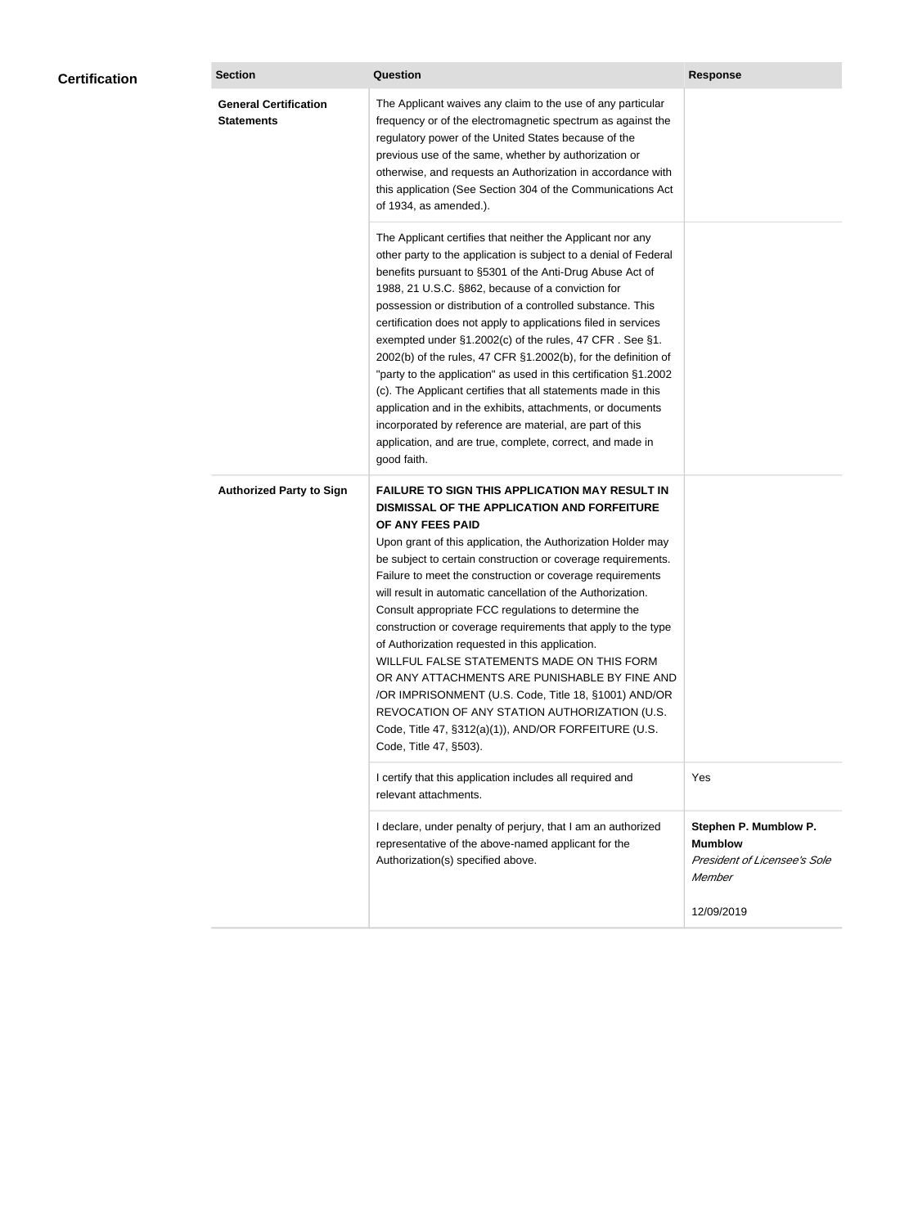| <b>Certification</b> | <b>Section</b>                                    | <b>Question</b>                                                                                                                                                                                                                                                                                                                                                                                                                                                                                                                                                                                                                                                                                                                                                                                                                                           | <b>Response</b>                                                                   |  |
|----------------------|---------------------------------------------------|-----------------------------------------------------------------------------------------------------------------------------------------------------------------------------------------------------------------------------------------------------------------------------------------------------------------------------------------------------------------------------------------------------------------------------------------------------------------------------------------------------------------------------------------------------------------------------------------------------------------------------------------------------------------------------------------------------------------------------------------------------------------------------------------------------------------------------------------------------------|-----------------------------------------------------------------------------------|--|
|                      | <b>General Certification</b><br><b>Statements</b> | The Applicant waives any claim to the use of any particular<br>frequency or of the electromagnetic spectrum as against the<br>regulatory power of the United States because of the<br>previous use of the same, whether by authorization or<br>otherwise, and requests an Authorization in accordance with<br>this application (See Section 304 of the Communications Act<br>of 1934, as amended.).                                                                                                                                                                                                                                                                                                                                                                                                                                                       |                                                                                   |  |
|                      |                                                   | The Applicant certifies that neither the Applicant nor any<br>other party to the application is subject to a denial of Federal<br>benefits pursuant to §5301 of the Anti-Drug Abuse Act of<br>1988, 21 U.S.C. §862, because of a conviction for<br>possession or distribution of a controlled substance. This<br>certification does not apply to applications filed in services<br>exempted under §1.2002(c) of the rules, 47 CFR. See §1.<br>2002(b) of the rules, 47 CFR §1.2002(b), for the definition of<br>"party to the application" as used in this certification §1.2002<br>(c). The Applicant certifies that all statements made in this<br>application and in the exhibits, attachments, or documents<br>incorporated by reference are material, are part of this<br>application, and are true, complete, correct, and made in<br>good faith.   |                                                                                   |  |
|                      | <b>Authorized Party to Sign</b>                   | <b>FAILURE TO SIGN THIS APPLICATION MAY RESULT IN</b><br>DISMISSAL OF THE APPLICATION AND FORFEITURE<br>OF ANY FEES PAID<br>Upon grant of this application, the Authorization Holder may<br>be subject to certain construction or coverage requirements.<br>Failure to meet the construction or coverage requirements<br>will result in automatic cancellation of the Authorization.<br>Consult appropriate FCC regulations to determine the<br>construction or coverage requirements that apply to the type<br>of Authorization requested in this application.<br>WILLFUL FALSE STATEMENTS MADE ON THIS FORM<br>OR ANY ATTACHMENTS ARE PUNISHABLE BY FINE AND<br>/OR IMPRISONMENT (U.S. Code, Title 18, §1001) AND/OR<br>REVOCATION OF ANY STATION AUTHORIZATION (U.S.<br>Code, Title 47, §312(a)(1)), AND/OR FORFEITURE (U.S.<br>Code, Title 47, §503). |                                                                                   |  |
|                      |                                                   | I certify that this application includes all required and<br>relevant attachments.                                                                                                                                                                                                                                                                                                                                                                                                                                                                                                                                                                                                                                                                                                                                                                        | Yes                                                                               |  |
|                      |                                                   | I declare, under penalty of perjury, that I am an authorized<br>representative of the above-named applicant for the<br>Authorization(s) specified above.                                                                                                                                                                                                                                                                                                                                                                                                                                                                                                                                                                                                                                                                                                  | Stephen P. Mumblow P.<br><b>Mumblow</b><br>President of Licensee's Sole<br>Member |  |
|                      |                                                   |                                                                                                                                                                                                                                                                                                                                                                                                                                                                                                                                                                                                                                                                                                                                                                                                                                                           | 12/09/2019                                                                        |  |